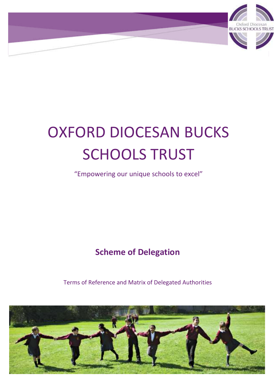

# OXFORD DIOCESAN BUCKS SCHOOLS TRUST

"Empowering our unique schools to excel"

**Scheme of Delegation**

Terms of Reference and Matrix of Delegated Authorities

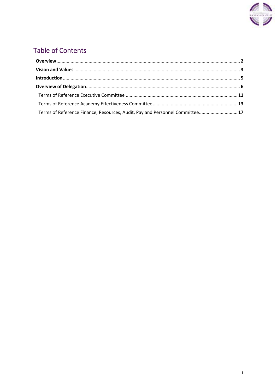

# **Table of Contents**

| Terms of Reference Finance, Resources, Audit, Pay and Personnel Committee 17 |  |
|------------------------------------------------------------------------------|--|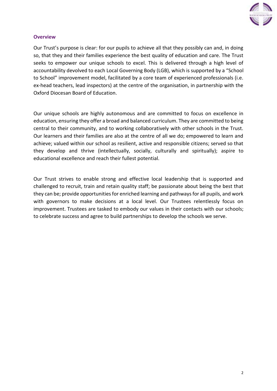

# <span id="page-2-0"></span>**Overview**

Our Trust's purpose is clear: for our pupils to achieve all that they possibly can and, in doing so, that they and their families experience the best quality of education and care. The Trust seeks to empower our unique schools to excel. This is delivered through a high level of accountability devolved to each Local Governing Body (LGB), which is supported by a "School to School" improvement model, facilitated by a core team of experienced professionals (i.e. ex-head teachers, lead inspectors) at the centre of the organisation, in partnership with the Oxford Diocesan Board of Education.

Our unique schools are highly autonomous and are committed to focus on excellence in education, ensuring they offer a broad and balanced curriculum. They are committed to being central to their community, and to working collaboratively with other schools in the Trust. Our learners and their families are also at the centre of all we do; empowered to learn and achieve; valued within our school as resilient, active and responsible citizens; served so that they develop and thrive (intellectually, socially, culturally and spiritually); aspire to educational excellence and reach their fullest potential.

Our Trust strives to enable strong and effective local leadership that is supported and challenged to recruit, train and retain quality staff; be passionate about being the best that they can be; provide opportunities for enriched learning and pathways for all pupils, and work with governors to make decisions at a local level. Our Trustees relentlessly focus on improvement. Trustees are tasked to embody our values in their contacts with our schools; to celebrate success and agree to build partnerships to develop the schools we serve.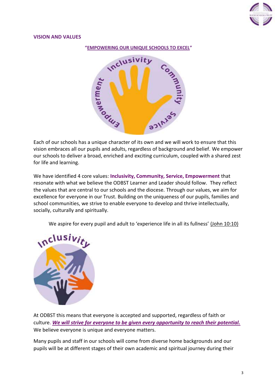

#### **VISION AND VALUES**

<span id="page-3-0"></span>**"EMPOWERING OUR UNIQUE SCHOOLS TO EXCEL"**



Each of our schools has a unique character of its own and we will work to ensure that this vision embraces all our pupils and adults, regardless of background and belief. We empower our schools to deliver a broad, enriched and exciting curriculum, coupled with a shared zest for life and learning.

We have identified 4 core values: **Inclusivity, Community, Service, Empowerment** that resonate with what we believe the ODBST Learner and Leader should follow. They reflect the values that are central to our schools and the diocese. Through our values, we aim for excellence for everyone in our Trust. Building on the uniqueness of our pupils, families and school communities, we strive to enable everyone to develop and thrive intellectually, socially, culturally and spiritually.

We aspire for every pupil and adult to 'experience life in all its fullness' (John 10:10)



At ODBST this means that everyone is accepted and supported, regardless of faith or culture. *We will strive for everyone to be given every opportunity to reach their potential.* We believe everyone is unique and everyone matters.

Many pupils and staff in our schools will come from diverse home backgrounds and our pupils will be at different stages of their own academic and spiritual journey during their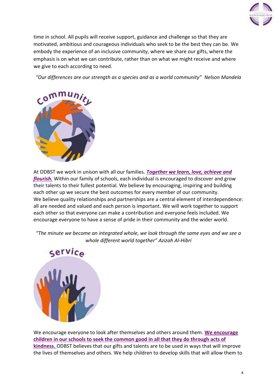

time in school. All pupils will receive support, guidance and challenge so that they are motivated, ambitious and courageous individuals who seek to be the best they can be. We embody the experience of an inclusive community, where we share our gifts, where the emphasis is on what we can contribute, rather than on what we might receive and where we give to each according to need.

*"Our differences are our strength as a species and as a world community" [Nelson Mandela](https://www.azquotes.com/author/9365-Nelson_Mandela)*



At ODBST we work in unison with all our families. *Together we learn, love, achieve and flourish.* Within our family of schools, each individual is encouraged to discover and grow their talents to their fullest potential. We believe by encouraging, inspiring and building each other up we secure the best outcomes for every member of our community. We believe quality relationships and partnerships are a central element of interdependence: all are needed and valued and each person is important. We will work together to support each other so that everyone can make a contribution and everyone feels included. We encourage everyone to have a sense of pride in their community and the wider world.

*"The minute we become an integrated whole, we look through the same eyes and we see a whole different world together" Azizah Al-Hibri*



We encourage everyone to look after themselves and others around them. **We encourage children in our schools to seek the common good in all that they do through acts of kindness.** ODBST believes that our gifts and talents are to be used in ways that will improve the lives of themselves and others. We help children to develop skills that will allow them to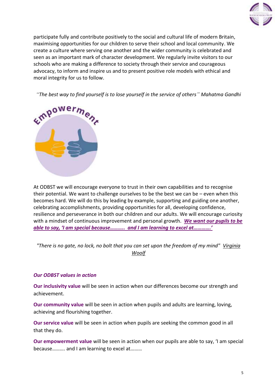

participate fully and contribute positively to the social and cultural life of modern Britain, maximising opportunities for our children to serve their school and local community. We create a culture where serving one another and the wider community is celebrated and seen as an important mark of character development. We regularly invite visitors to our schools who are making a difference to society through their service and courageous advocacy, to inform and inspire us and to present positive role models with ethical and moral integrity for us to follow.

*"The best way to find yourself is to lose yourself in the service of others" Mahatma Gandhi*



At ODBST we will encourage everyone to trust in their own capabilities and to recognise their potential. We want to challenge ourselves to be the best we can be – even when this becomes hard. We will do this by leading by example, supporting and guiding one another, celebrating accomplishments, providing opportunities for all, developing confidence, resilience and perseverance in both our children and our adults. We will encourage curiosity with a mindset of continuous improvement and personal growth. *We want our pupils to be able to say, 'I am special because……….. and I am learning to excel at………….'*

*"There is no gate, no lock, no bolt that you can set upon the freedom of my mind" [Virginia](https://www.amazon.com/Room-Ones-Own-Virginia-Woolf/dp/0156787334/ref=sr_1_1?ots=1&s=books&ie=UTF8&qid=1486161542&sr=1-1&keywords=A+Room+of+One%27s+Own.&tag=harpersbazaar_auto-append-20&ascsubtag=%5bartid|10056.a.4056%5bsrc|%5bch|%5blt|)  [Woolf](https://www.amazon.com/Room-Ones-Own-Virginia-Woolf/dp/0156787334/ref=sr_1_1?ots=1&s=books&ie=UTF8&qid=1486161542&sr=1-1&keywords=A+Room+of+One%27s+Own.&tag=harpersbazaar_auto-append-20&ascsubtag=%5bartid|10056.a.4056%5bsrc|%5bch|%5blt|)*

#### *Our ODBST values in action*

**Our inclusivity value** will be seen in action when our differences become our strength and achievement.

**Our community value** will be seen in action when pupils and adults are learning, loving, achieving and flourishing together.

**Our service value** will be seen in action when pupils are seeking the common good in all that they do.

**Our empowerment value** will be seen in action when our pupils are able to say, 'I am special because………. and I am learning to excel at………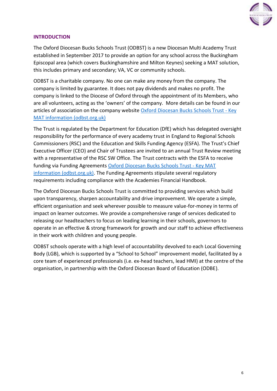

# <span id="page-6-0"></span>**INTRODUCTION**

The Oxford Diocesan Bucks Schools Trust (ODBST) is a new Diocesan Multi Academy Trust established in September 2017 to provide an option for any school across the Buckingham Episcopal area (which covers Buckinghamshire and Milton Keynes) seeking a MAT solution, this includes primary and secondary; VA, VC or community schools.

ODBST is a charitable company. No one can make any money from the company. The company is limited by guarantee. It does not pay dividends and makes no profit. The company is linked to the Diocese of Oxford through the appointment of its Members, who are all volunteers, acting as the 'owners' of the company. More details can be found in our articles of association on the company website [Oxford Diocesan Bucks Schools Trust -](https://www.odbst.org.uk/page/?title=Key+MAT+information&pid=11) Key [MAT information \(odbst.org.uk\)](https://www.odbst.org.uk/page/?title=Key+MAT+information&pid=11)

The Trust is regulated by the Department for Education (DfE) which has delegated oversight responsibility for the performance of every academy trust in England to Regional Schools Commissioners (RSC) and the Education and Skills Funding Agency (ESFA). The Trust's Chief Executive Officer (CEO) and Chair of Trustees are invited to an annual Trust Review meeting with a representative of the RSC SW Office. The Trust contracts with the ESFA to receive funding via Funding Agreements [Oxford Diocesan Bucks Schools Trust -](https://www.odbst.org.uk/page/?title=Key+MAT+information&pid=11) Key MAT [information \(odbst.org.uk\).](https://www.odbst.org.uk/page/?title=Key+MAT+information&pid=11) The Funding Agreements stipulate several regulatory requirements including compliance with the Academies Financial Handbook.

The Oxford Diocesan Bucks Schools Trust is committed to providing services which build upon transparency, sharpen accountability and drive improvement. We operate a simple, efficient organisation and seek wherever possible to measure value-for-money in terms of impact on learner outcomes. We provide a comprehensive range of services dedicated to releasing our headteachers to focus on leading learning in their schools, governors to operate in an effective & strong framework for growth and our staff to achieve effectiveness in their work with children and young people.

ODBST schools operate with a high level of accountability devolved to each Local Governing Body (LGB), which is supported by a "School to School" improvement model, facilitated by a core team of experienced professionals (i.e. ex-head teachers, lead HMI) at the centre of the organisation, in partnership with the Oxford Diocesan Board of Education (ODBE).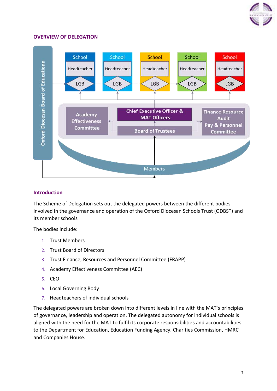

#### <span id="page-7-0"></span>**OVERVIEW OF DELEGATION**



#### **Introduction**

The Scheme of Delegation sets out the delegated powers between the different bodies involved in the governance and operation of the Oxford Diocesan Schools Trust (ODBST) and its member schools

The bodies include:

- 1. Trust Members
- 2. Trust Board of Directors
- 3. Trust Finance, Resources and Personnel Committee (FRAPP)
- 4. Academy Effectiveness Committee (AEC)
- 5. CEO
- 6. Local Governing Body
- 7. Headteachers of individual schools

The delegated powers are broken down into different levels in line with the MAT's principles of governance, leadership and operation. The delegated autonomy for individual schools is aligned with the need for the MAT to fulfil its corporate responsibilities and accountabilities to the Department for Education, Education Funding Agency, Charities Commission, HMRC and Companies House.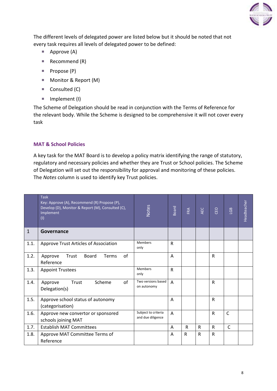

The different levels of delegated power are listed below but it should be noted that not every task requires all levels of delegated power to be defined:

- $\blacksquare$  Approve (A)
- Recommend  $(R)$
- $\blacksquare$  Propose (P)
- Monitor & Report (M)
- $\blacksquare$  Consulted (C)
- Implement (I)

The Scheme of Delegation should be read in conjunction with the Terms of Reference for the relevant body. While the Scheme is designed to be comprehensive it will not cover every task

# **MAT & School Policies**

A key task for the MAT Board is to develop a policy matrix identifying the range of statutory, regulatory and necessary policies and whether they are Trust or School policies. The Scheme of Delegation will set out the responsibility for approval and monitoring of these policies. The *Notes* column is used to identify key Trust policies.

|              | <b>Task</b><br>Key: Approve (A), Recommend (R) Propose (P),<br>Develop (D), Monitor & Report (M), Consulted (C),<br>Implement<br>(1) | <b>Notes</b>                             | <b>Board</b> | FRA | <b>AEC</b>   | CEO          | GB           | Headteacher |
|--------------|--------------------------------------------------------------------------------------------------------------------------------------|------------------------------------------|--------------|-----|--------------|--------------|--------------|-------------|
| $\mathbf{1}$ | Governance                                                                                                                           |                                          |              |     |              |              |              |             |
| 1.1.         | Approve Trust Articles of Association                                                                                                | <b>Members</b><br>only                   | $\mathsf{R}$ |     |              |              |              |             |
| 1.2.         | of<br>Trust<br><b>Board</b><br>Approve<br><b>Terms</b><br>Reference                                                                  |                                          | Α            |     |              | $\mathsf{R}$ |              |             |
| 1.3.         | <b>Appoint Trustees</b>                                                                                                              | <b>Members</b><br>only                   | $\mathsf{R}$ |     |              |              |              |             |
| 1.4.         | Scheme<br>of<br>Trust<br>Approve<br>Delegation(s)                                                                                    | Two versions based<br>on autonomy        | A            |     |              | R            |              |             |
| 1.5.         | Approve school status of autonomy<br>(categorisation)                                                                                |                                          | A            |     |              | R            |              |             |
| 1.6.         | Approve new convertor or sponsored<br>schools joining MAT                                                                            | Subject to criteria<br>and due diligence | A            |     |              | R            | $\mathsf{C}$ |             |
| 1.7.         | <b>Establish MAT Committees</b>                                                                                                      |                                          | A            | R.  | $\mathsf{R}$ | R.           | $\mathsf{C}$ |             |
| 1.8.         | Approve MAT Committee Terms of<br>Reference                                                                                          |                                          | A            | R   | $\mathsf R$  | R            |              |             |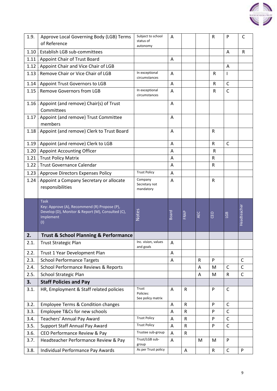

| 1.9.         | Approve Local Governing Body (LGB) Terms<br>of Reference                                                                             | Subject to school<br>status of<br>autonomy     | Α              |              |              | R            | P                 | $\mathsf{C}$ |
|--------------|--------------------------------------------------------------------------------------------------------------------------------------|------------------------------------------------|----------------|--------------|--------------|--------------|-------------------|--------------|
| 1.10         | Establish LGB sub-committees                                                                                                         |                                                |                |              |              |              | A                 | R            |
| 1.11         | <b>Appoint Chair of Trust Board</b>                                                                                                  |                                                | A              |              |              |              |                   |              |
| 1.12         | Appoint Chair and Vice Chair of LGB                                                                                                  |                                                |                |              |              |              | A                 |              |
| 1.13         | Remove Chair or Vice Chair of LGB                                                                                                    | In exceptional<br>circumstances                | $\overline{A}$ |              |              | ${\sf R}$    | I                 |              |
| 1.14         | Appoint Trust Governors to LGB                                                                                                       |                                                | Α              |              |              | $\mathsf R$  | $\mathsf{C}$      |              |
| 1.15         | <b>Remove Governors from LGB</b>                                                                                                     | In exceptional<br>circumstances                | Α              |              |              | R            | $\mathsf{C}$      |              |
| 1.16         | Appoint (and remove) Chair(s) of Trust<br>Committees                                                                                 |                                                | A              |              |              |              |                   |              |
| 1.17         | Appoint (and remove) Trust Committee<br>members                                                                                      |                                                | A              |              |              |              |                   |              |
| 1.18         | Appoint (and remove) Clerk to Trust Board                                                                                            |                                                | A              |              |              | ${\sf R}$    |                   |              |
| 1.19         | Appoint (and remove) Clerk to LGB                                                                                                    |                                                | A              |              |              | ${\sf R}$    | $\mathsf{C}$      |              |
| 1.20         | <b>Appoint Accounting Officer</b>                                                                                                    |                                                | A              |              |              | $\mathsf{R}$ |                   |              |
| 1.21         | <b>Trust Policy Matrix</b>                                                                                                           |                                                | Α              |              |              | R            |                   |              |
| 1.22         | <b>Trust Governance Calendar</b>                                                                                                     |                                                | Α              |              |              | $\mathsf R$  |                   |              |
| 1.23         | <b>Approve Directors Expenses Policy</b>                                                                                             | <b>Trust Policy</b>                            | A              |              |              |              |                   |              |
| 1.24         | Appoint a Company Secretary or allocate<br>responsibilities                                                                          | Company<br>Secretary not<br>mandatory          | A              |              |              | R            |                   |              |
|              |                                                                                                                                      |                                                |                |              |              |              |                   |              |
|              | <b>Task</b><br>Key: Approve (A), Recommend (R) Propose (P),<br>Develop (D), Monitor & Report (M), Consulted (C),<br>Implement<br>(1) | <b>Notes</b>                                   | <b>Board</b>   | FRAP         | AEC          | CEO          | LGB               | Headteacher  |
| 2.           | <b>Trust &amp; School Planning &amp; Performance</b>                                                                                 |                                                |                |              |              |              |                   |              |
| 2.1.         | <b>Trust Strategic Plan</b>                                                                                                          | Inc. vision, values<br>and goals               | A              |              |              |              |                   |              |
| 2.2.         | Trust 1 Year Development Plan                                                                                                        |                                                | A              |              |              |              |                   |              |
| 2.3.         | <b>School Performance Targets</b>                                                                                                    |                                                | Α              |              | $\mathsf{R}$ | P            |                   | $\mathsf{C}$ |
| 2.4.         | <b>School Performance Reviews &amp; Reports</b>                                                                                      |                                                |                |              | A            | M            | C                 | C            |
| 2.5.         | School Strategic Plan                                                                                                                |                                                |                |              | A            | M            | $\mathsf{R}$      | $\mathsf{C}$ |
| 3.           | <b>Staff Policies and Pay</b>                                                                                                        |                                                |                |              |              |              |                   |              |
| 3.1.         | HR, Employment & Staff related policies                                                                                              | Trust<br>Policies:<br>See policy matrix        | Α              | $\mathsf{R}$ |              | P            | $\mathsf{C}$      |              |
| 3.2.         | <b>Employee Terms &amp; Condition changes</b>                                                                                        |                                                | Α              | $\mathsf R$  |              | P            | $\mathsf{C}$      |              |
| 3.3.         | Employee T&Cs for new schools                                                                                                        |                                                | A              | ${\sf R}$    |              | P            | $\mathsf{C}$      |              |
| 3.4.         | Teachers' Annual Pay Award                                                                                                           | <b>Trust Policy</b>                            | A              | $\mathsf R$  |              | P            | $\mathsf C$       |              |
| 3.5.         | <b>Support Staff Annual Pay Award</b>                                                                                                | <b>Trust Policy</b>                            | A              | ${\sf R}$    |              | P            | $\mathsf{C}$      |              |
| 3.6.         | CEO Performance Review & Pay                                                                                                         | Trustee sub-group                              | Α              | $\mathsf{R}$ |              |              |                   |              |
| 3.7.<br>3.8. | Headteacher Performance Review & Pay<br>Individual Performance Pay Awards                                                            | Trust/LGB sub-<br>group<br>As per Trust policy | Α              | A            | M            | M<br>R       | P<br>$\mathsf{C}$ | P            |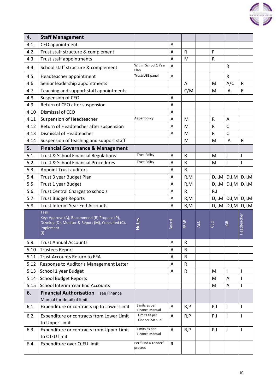| 4.   | <b>Staff Management</b>                                                                                                              |                                        |              |              |     |              |                |                          |
|------|--------------------------------------------------------------------------------------------------------------------------------------|----------------------------------------|--------------|--------------|-----|--------------|----------------|--------------------------|
| 4.1. | CEO appointment                                                                                                                      |                                        |              |              |     |              |                |                          |
| 4.2. | Trust staff structure & complement                                                                                                   |                                        | Α<br>A       | R            |     | P            |                |                          |
| 4.3. |                                                                                                                                      |                                        |              | M            |     | $\mathsf{R}$ |                |                          |
|      | Trust staff appointments                                                                                                             | Within School 1 Year                   | Α            |              |     |              |                |                          |
| 4.4. | School staff structure & complement                                                                                                  | Plan                                   | Α            |              |     |              | $\mathsf{R}$   |                          |
| 4.5. | Headteacher appointment                                                                                                              | Trust/LGB panel                        | A            |              |     |              | $\mathsf{R}$   |                          |
| 4.6. | Senior leadership appointments                                                                                                       |                                        |              | A            |     | M            | A/C            | $\mathsf R$              |
| 4.7. | Teaching and support staff appointments                                                                                              |                                        |              | C/M          |     | M            | A              | ${\sf R}$                |
| 4.8. | Suspension of CEO                                                                                                                    |                                        | A            |              |     |              |                |                          |
| 4.9. | Return of CEO after suspension                                                                                                       |                                        | A            |              |     |              |                |                          |
| 4.10 | Dismissal of CEO                                                                                                                     |                                        | Α            |              |     |              |                |                          |
| 4.11 | Suspension of Headteacher                                                                                                            | As per policy                          | Α            | M            |     | R            | Α              |                          |
| 4.12 | Return of Headteacher after suspension                                                                                               |                                        | A            | M            |     | $\mathsf{R}$ | $\mathsf{C}$   |                          |
| 4.13 | Dismissal of Headteacher                                                                                                             |                                        | Α            | M            |     | ${\sf R}$    | $\mathsf{C}$   |                          |
| 4.14 | Suspension of teaching and support staff                                                                                             |                                        |              | M            |     | M            | $\overline{A}$ | ${\sf R}$                |
| 5.   | <b>Financial Governance &amp; Management</b>                                                                                         |                                        |              |              |     |              |                |                          |
| 5.1. | <b>Trust &amp; School Financial Regulations</b>                                                                                      | <b>Trust Policy</b>                    | A            | R            |     | M            | I              | $\mathsf{I}$             |
| 5.2. | <b>Trust &amp; School Financial Procedures</b>                                                                                       | <b>Trust Policy</b>                    | Α            | $\mathsf R$  |     | M            | I              | $\mathsf{l}$             |
| 5.3. | <b>Appoint Trust auditors</b>                                                                                                        |                                        | A            | ${\sf R}$    |     |              |                |                          |
| 5.4. | Trust 3 year Budget Plan                                                                                                             |                                        | A            | R,M          |     | D,I,M        |                | $D,I,M$ $D,I,M$          |
| 5.5. | Trust 1 year Budget                                                                                                                  |                                        | Α            | R,M          |     | D,I,M        |                | $D,I,M$ $D,I,M$          |
| 5.6. | <b>Trust Central Charges to schools</b>                                                                                              |                                        | A            | ${\sf R}$    |     | R, I         |                |                          |
| 5.7. | <b>Trust Budget Reports</b>                                                                                                          |                                        | A            | R, M         |     | D,I,M        |                | $D,I,M$ $D,I,M$          |
| 5.8. | <b>Trust Interim Year End Accounts</b>                                                                                               |                                        | A            | R, M         |     | D,I,M        | D,I,M          | D,I,M                    |
|      | <b>Task</b><br>Key: Approve (A), Recommend (R) Propose (P),<br>Develop (D), Monitor & Report (M), Consulted (C),<br>Implement<br>(1) | Notes                                  | <b>Board</b> | FRAP         | AEC | CEO          | LGB            | Headteacher              |
| 5.9. | <b>Trust Annual Accounts</b>                                                                                                         |                                        | A            | $\mathsf{R}$ |     |              |                |                          |
| 5.10 | <b>Trustees Report</b>                                                                                                               |                                        | Α            | $\mathsf R$  |     |              |                |                          |
| 5.11 | Trust Accounts Return to EFA                                                                                                         |                                        | Α            | ${\sf R}$    |     |              |                |                          |
| 5.12 | Response to Auditor's Management Letter                                                                                              |                                        | A            | $\mathsf{R}$ |     |              |                |                          |
| 5.13 | School 1 year Budget                                                                                                                 |                                        | Α            | $\mathsf{R}$ |     | M            | T              | $\overline{\phantom{a}}$ |
| 5.14 | <b>School Budget Reports</b>                                                                                                         |                                        |              |              |     | M            | Α              | $\mathsf{l}$             |
| 5.15 | <b>School Interim Year End Accounts</b>                                                                                              |                                        |              |              |     | M            | A              | $\mathbf{I}$             |
| 6.   | Financial Authorisation - see Finance                                                                                                |                                        |              |              |     |              |                |                          |
|      | Manual for detail of limits                                                                                                          |                                        |              |              |     |              |                |                          |
| 6.1. | Expenditure or contracts up to Lower Limit                                                                                           | Limits as per<br><b>Finance Manual</b> | Α            | R, P         |     | P, I         | T              | T                        |
| 6.2. | Expenditure or contracts from Lower Limit                                                                                            | Limits as per<br><b>Finance Manual</b> | Α            | R, P         |     | P, I         | I              | $\mathsf{l}$             |
|      | to Upper Limit                                                                                                                       | Limits as per                          |              |              |     |              |                |                          |
| 6.3. | Expenditure or contracts from Upper Limit<br>to OJEU limit                                                                           | <b>Finance Manual</b>                  | A            | R, P         |     | P, I         | I              | ı                        |
| 6.4. | Expenditure over OJEU limit                                                                                                          | Per "Find a Tender"<br>process         | $\mathsf{R}$ |              |     |              |                |                          |

 $\sqrt{2}$ 

 $\overline{\phantom{a}}$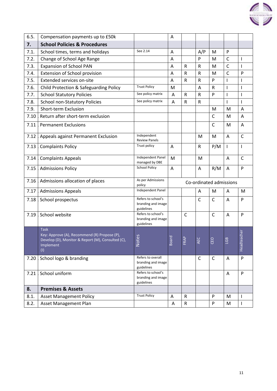| 6.5. | Compensation payments up to £50k                                                                                                     |                                                        | Α                       |                 |              |              |                                     |              |
|------|--------------------------------------------------------------------------------------------------------------------------------------|--------------------------------------------------------|-------------------------|-----------------|--------------|--------------|-------------------------------------|--------------|
| 7.   | <b>School Policies &amp; Procedures</b>                                                                                              |                                                        |                         |                 |              |              |                                     |              |
| 7.1. | School times, terms and holidays                                                                                                     | See 2.14                                               | Α                       |                 | A/P          | M            | P                                   |              |
| 7.2. | Change of School Age Range                                                                                                           |                                                        | A                       |                 | P            | M            | $\mathsf{C}$                        | I            |
| 7.3. | <b>Expansion of School PAN</b>                                                                                                       |                                                        | Α                       | $\mathsf R$     | ${\sf R}$    | M            | $\mathsf{C}$                        | $\mathbf{I}$ |
| 7.4. | Extension of School provision                                                                                                        |                                                        | Α                       | $\mathsf R$     | ${\sf R}$    | M            | $\mathsf{C}$                        | P            |
| 7.5. | <b>Extended services on-site</b>                                                                                                     |                                                        | A                       | $\mathsf R$     | ${\sf R}$    | P            | $\mathsf{l}$                        |              |
| 7.6. | Child Protection & Safeguarding Policy                                                                                               | <b>Trust Policy</b>                                    | M                       |                 | Α            | R            | $\mathsf{l}$                        |              |
| 7.7. | <b>School Statutory Policies</b>                                                                                                     | See policy matrix                                      | Α                       | $\mathsf R$     | R            | P            | $\overline{\phantom{a}}$            |              |
| 7.8. | <b>School non-Statutory Policies</b>                                                                                                 | See policy matrix                                      | A                       | ${\sf R}$       | ${\sf R}$    |              | $\mathbf{I}$                        | $\mathbf{I}$ |
| 7.9. | Short-term Exclusion                                                                                                                 |                                                        |                         |                 |              | M            | M                                   | A            |
| 7.10 | Return after short-term exclusion                                                                                                    |                                                        |                         |                 |              | $\mathsf{C}$ | M                                   | A            |
| 7.11 | <b>Permanent Exclusions</b>                                                                                                          |                                                        |                         |                 |              | $\mathsf{C}$ | M                                   | A            |
| 7.12 | Appeals against Permanent Exclusion                                                                                                  | Independent<br><b>Review Panels</b>                    |                         |                 | M            | M            | Α                                   | $\mathsf{C}$ |
| 7.13 | <b>Complaints Policy</b>                                                                                                             | Trust policy                                           | Α                       |                 | ${\sf R}$    | P/M          | $\mathbf{I}$                        | $\mathbf{I}$ |
| 7.14 | <b>Complaints Appeals</b>                                                                                                            | Independent Panel<br>managed by DBE                    | M                       |                 | M            |              | Α                                   | $\mathsf{C}$ |
| 7.15 | <b>Admissions Policy</b>                                                                                                             | <b>School Policy</b>                                   | Α                       |                 | Α            | R/M          | Α                                   | P            |
| 7.16 | Admissions allocation of places                                                                                                      | As per Admissions<br>policy                            | Co-ordinated admissions |                 |              |              |                                     |              |
| 7.17 | <b>Admissions Appeals</b>                                                                                                            | Independent Panel                                      |                         |                 | Α            | M            | A                                   | M            |
| 7.18 | School prospectus                                                                                                                    | Refers to school's<br>branding and image<br>guidelines |                         |                 | $\mathsf{C}$ | $\mathsf{C}$ | Α                                   | P            |
| 7.19 | School website                                                                                                                       | Refers to school's<br>branding and image<br>guidelines |                         | $\mathsf{C}$    |              | $\mathsf{C}$ | A                                   | P            |
|      | <b>Task</b><br>Key: Approve (A), Recommend (R) Propose (P),<br>Develop (D), Monitor & Report (M), Consulted (C),<br>Implement<br>(1) | ပိ<br>Note                                             | 짇<br>Boa                | $\Delta$<br>FRA | <b>AE</b>    | CEO          | $\mathbf{\Omega}$<br>$\overline{G}$ | Headteacher  |
| 7.20 | School logo & branding                                                                                                               | Refers to overall<br>branding and image<br>guidelines  |                         |                 | $\mathsf{C}$ | $\mathsf{C}$ | A                                   | $\mathsf{P}$ |
| 7.21 | School uniform                                                                                                                       | Refers to school's<br>branding and image<br>guidelines |                         |                 |              |              | Α                                   | P            |
| 8.   | <b>Premises &amp; Assets</b>                                                                                                         |                                                        |                         |                 |              |              |                                     |              |
| 8.1. | <b>Asset Management Policy</b>                                                                                                       | <b>Trust Policy</b>                                    | Α                       | R               |              | P            | M                                   |              |
| 8.2. | <b>Asset Management Plan</b>                                                                                                         |                                                        | A                       | ${\sf R}$       |              | P            | M                                   | $\mathbf{I}$ |

 $\sqrt{2}$ 

 $\overline{\phantom{a}}$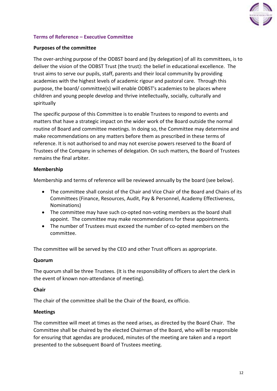

# <span id="page-12-0"></span>**Terms of Reference – Executive Committee**

# **Purposes of the committee**

The over-arching purpose of the ODBST board and (by delegation) of all its committees, is to deliver the vision of the ODBST Trust (the trust): the belief in educational excellence. The trust aims to serve our pupils, staff, parents and their local community by providing academies with the highest levels of academic rigour and pastoral care. Through this purpose, the board/ committee(s) will enable ODBST's academies to be places where children and young people develop and thrive intellectually, socially, culturally and spiritually

The specific purpose of this Committee is to enable Trustees to respond to events and matters that have a strategic impact on the wider work of the Board outside the normal routine of Board and committee meetings. In doing so, the Committee may determine and make recommendations on any matters before them as prescribed in these terms of reference. It is not authorised to and may not exercise powers reserved to the Board of Trustees of the Company in schemes of delegation. On such matters, the Board of Trustees remains the final arbiter.

# **Membership**

Membership and terms of reference will be reviewed annually by the board (see below).

- The committee shall consist of the Chair and Vice Chair of the Board and Chairs of its Committees (Finance, Resources, Audit, Pay & Personnel, Academy Effectiveness, Nominations)
- The committee may have such co-opted non-voting members as the board shall appoint. The committee may make recommendations for these appointments.
- The number of Trustees must exceed the number of co-opted members on the committee.

The committee will be served by the CEO and other Trust officers as appropriate.

#### **Quorum**

The quorum shall be three Trustees. (It is the responsibility of officers to alert the clerk in the event of known non-attendance of meeting).

#### **Chair**

The chair of the committee shall be the Chair of the Board, ex officio.

#### **Meetings**

The committee will meet at times as the need arises, as directed by the Board Chair. The Committee shall be chaired by the elected Chairman of the Board, who will be responsible for ensuring that agendas are produced, minutes of the meeting are taken and a report presented to the subsequent Board of Trustees meeting.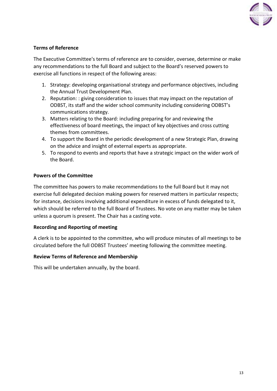

# **Terms of Reference**

The Executive Committee's terms of reference are to consider, oversee, determine or make any recommendations to the full Board and subject to the Board's reserved powers to exercise all functions in respect of the following areas:

- 1. Strategy: developing organisational strategy and performance objectives, including the Annual Trust Development Plan.
- 2. Reputation: : giving consideration to issues that may impact on the reputation of ODBST, its staff and the wider school community including considering ODBST's communications strategy.
- 3. Matters relating to the Board: including preparing for and reviewing the effectiveness of board meetings, the impact of key objectives and cross cutting themes from committees.
- 4. To support the Board in the periodic development of a new Strategic Plan, drawing on the advice and insight of external experts as appropriate.
- 5. To respond to events and reports that have a strategic impact on the wider work of the Board.

# **Powers of the Committee**

The committee has powers to make recommendations to the full Board but it may not exercise full delegated decision making powers for reserved matters in particular respects; for instance, decisions involving additional expenditure in excess of funds delegated to it, which should be referred to the full Board of Trustees. No vote on any matter may be taken unless a quorum is present. The Chair has a casting vote.

#### **Recording and Reporting of meeting**

A clerk is to be appointed to the committee, who will produce minutes of all meetings to be circulated before the full ODBST Trustees' meeting following the committee meeting.

#### **Review Terms of Reference and Membership**

This will be undertaken annually, by the board.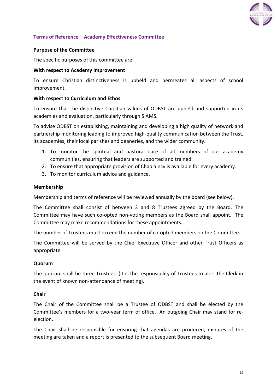

# <span id="page-14-0"></span>**Terms of Reference – Academy Effectiveness Committee**

#### **Purpose of the Committee**

The specific purposes of this committee are:

#### **With respect to Academy Improvement**

To ensure Christian distinctiveness is upheld and permeates all aspects of school improvement.

#### **With respect to Curriculum and Ethos**

To ensure that the distinctive Christian values of ODBST are upheld and supported in its academies and evaluation, particularly through SIAMS.

To advise ODBST on establishing, maintaining and developing a high quality of network and partnership monitoring leading to improved high-quality communication between the Trust, its academies, their local parishes and deaneries, and the wider community.

- 1. To monitor the spiritual and pastoral care of all members of our academy communities, ensuring that leaders are supported and trained.
- 2. To ensure that appropriate provision of Chaplaincy is available for every academy.
- 3. To monitor curriculum advice and guidance.

#### **Membership**

Membership and terms of reference will be reviewed annually by the board (see below).

The Committee shall consist of between 3 and 8 Trustees agreed by the Board. The Committee may have such co-opted non-voting members as the Board shall appoint. The Committee may make recommendations for these appointments.

The number of Trustees must exceed the number of co-opted members on the Committee.

The Committee will be served by the Chief Executive Officer and other Trust Officers as appropriate.

#### **Quorum**

The quorum shall be three Trustees. (It is the responsibility of Trustees to alert the Clerk in the event of known non-attendance of meeting).

#### **Chair**

The Chair of the Committee shall be a Trustee of ODBST and shall be elected by the Committee's members for a two-year term of office. An outgoing Chair may stand for reelection.

The Chair shall be responsible for ensuring that agendas are produced, minutes of the meeting are taken and a report is presented to the subsequent Board meeting.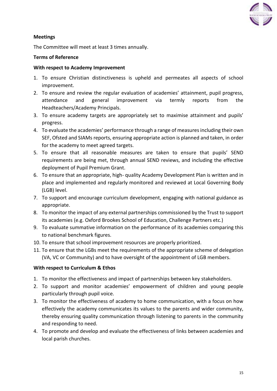

# **Meetings**

The Committee will meet at least 3 times annually.

# **Terms of Reference**

#### **With respect to Academy Improvement**

- 1. To ensure Christian distinctiveness is upheld and permeates all aspects of school improvement.
- 2. To ensure and review the regular evaluation of academies' attainment, pupil progress, attendance and general improvement via termly reports from the Headteachers/Academy Principals.
- 3. To ensure academy targets are appropriately set to maximise attainment and pupils' progress.
- 4. To evaluate the academies' performance through a range of measures including their own SEF, Ofsted and SIAMs reports, ensuring appropriate action is planned and taken, in order for the academy to meet agreed targets.
- 5. To ensure that all reasonable measures are taken to ensure that pupils' SEND requirements are being met, through annual SEND reviews, and including the effective deployment of Pupil Premium Grant.
- 6. To ensure that an appropriate, high- quality Academy Development Plan is written and in place and implemented and regularly monitored and reviewed at Local Governing Body (LGB) level.
- 7. To support and encourage curriculum development, engaging with national guidance as appropriate.
- 8. To monitor the impact of any external partnerships commissioned by the Trust to support its academies (e.g. Oxford Brookes School of Education, Challenge Partners etc.)
- 9. To evaluate summative information on the performance of its academies comparing this to national benchmark figures.
- 10. To ensure that school improvement resources are properly prioritized.
- 11. To ensure that the LGBs meet the requirements of the appropriate scheme of delegation (VA, VC or Community) and to have oversight of the appointment of LGB members.

# **With respect to Curriculum & Ethos**

- 1. To monitor the effectiveness and impact of partnerships between key stakeholders.
- 2. To support and monitor academies' empowerment of children and young people particularly through pupil voice.
- 3. To monitor the effectiveness of academy to home communication, with a focus on how effectively the academy communicates its values to the parents and wider community, thereby ensuring quality communication through listening to parents in the community and responding to need.
- 4. To promote and develop and evaluate the effectiveness of links between academies and local parish churches.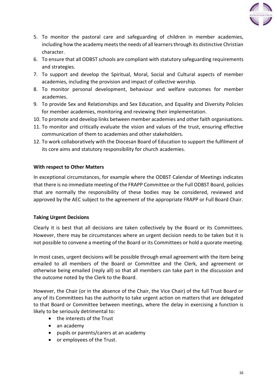

- 5. To monitor the pastoral care and safeguarding of children in member academies, including how the academy meets the needs of all learners through its distinctive Christian character.
- 6. To ensure that all ODBST schools are compliant with statutory safeguarding requirements and strategies.
- 7. To support and develop the Spiritual, Moral, Social and Cultural aspects of member academies, including the provision and impact of collective worship.
- 8. To monitor personal development, behaviour and welfare outcomes for member academies.
- 9. To provide Sex and Relationships and Sex Education, and Equality and Diversity Policies for member academies, monitoring and reviewing their implementation.
- 10. To promote and develop links between member academies and other faith organisations.
- 11. To monitor and critically evaluate the vision and values of the trust, ensuring effective communication of them to academies and other stakeholders.
- 12. To work collaboratively with the Diocesan Board of Education to support the fulfilment of its core aims and statutory responsibility for church academies.

# **With respect to Other Matters**

In exceptional circumstances, for example where the ODBST Calendar of Meetings indicates that there is no immediate meeting of the FRAPP Committee or the Full ODBST Board, policies that are normally the responsibility of these bodies may be considered, reviewed and approved by the AEC subject to the agreement of the appropriate FRAPP or Full Board Chair.

# **Taking Urgent Decisions**

Clearly it is best that all decisions are taken collectively by the Board or its Committees. However, there may be circumstances where an urgent decision needs to be taken but it is not possible to convene a meeting of the Board or its Committees or hold a quorate meeting.

In most cases, urgent decisions will be possible through email agreement with the item being emailed to all members of the Board or Committee and the Clerk, and agreement or otherwise being emailed (reply all) so that all members can take part in the discussion and the outcome noted by the Clerk to the Board.

However, the Chair (or in the absence of the Chair, the Vice Chair) of the full Trust Board or any of its Committees has the authority to take urgent action on matters that are delegated to that Board or Committee between meetings, where the delay in exercising a function is likely to be seriously detrimental to:

- the interests of the Trust
- an academy
- pupils or parents/carers at an academy
- or employees of the Trust.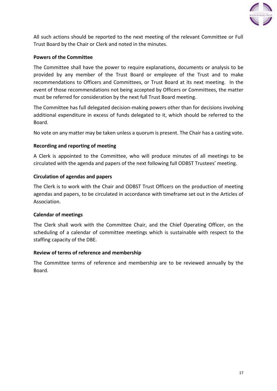

All such actions should be reported to the next meeting of the relevant Committee or Full Trust Board by the Chair or Clerk and noted in the minutes.

# **Powers of the Committee**

The Committee shall have the power to require explanations, documents or analysis to be provided by any member of the Trust Board or employee of the Trust and to make recommendations to Officers and Committees, or Trust Board at its next meeting. In the event of those recommendations not being accepted by Officers or Committees, the matter must be referred for consideration by the next full Trust Board meeting.

The Committee has full delegated decision-making powers other than for decisions involving additional expenditure in excess of funds delegated to it, which should be referred to the Board.

No vote on any matter may be taken unless a quorum is present. The Chair has a casting vote.

# **Recording and reporting of meeting**

A Clerk is appointed to the Committee, who will produce minutes of all meetings to be circulated with the agenda and papers of the next following full ODBST Trustees' meeting.

#### **Circulation of agendas and papers**

The Clerk is to work with the Chair and ODBST Trust Officers on the production of meeting agendas and papers, to be circulated in accordance with timeframe set out in the Articles of Association.

#### **Calendar of meetings**

The Clerk shall work with the Committee Chair, and the Chief Operating Officer, on the scheduling of a calendar of committee meetings which is sustainable with respect to the staffing capacity of the DBE.

#### **Review of terms of reference and membership**

The Committee terms of reference and membership are to be reviewed annually by the Board.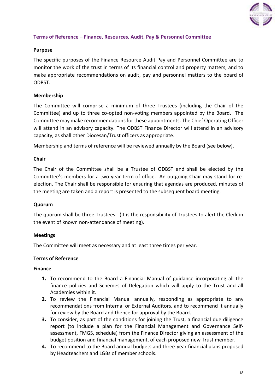

# <span id="page-18-0"></span>**Terms of Reference – Finance, Resources, Audit, Pay & Personnel Committee**

# **Purpose**

The specific purposes of the Finance Resource Audit Pay and Personnel Committee are to monitor the work of the trust in terms of its financial control and property matters, and to make appropriate recommendations on audit, pay and personnel matters to the board of ODBST.

# **Membership**

The Committee will comprise a minimum of three Trustees (including the Chair of the Committee) and up to three co-opted non-voting members appointed by the Board. The Committee may make recommendations for these appointments. The Chief Operating Officer will attend in an advisory capacity. The ODBST Finance Director will attend in an advisory capacity, as shall other Diocesan/Trust officers as appropriate.

Membership and terms of reference will be reviewed annually by the Board (see below).

#### **Chair**

The Chair of the Committee shall be a Trustee of ODBST and shall be elected by the Committee's members for a two-year term of office. An outgoing Chair may stand for reelection. The Chair shall be responsible for ensuring that agendas are produced, minutes of the meeting are taken and a report is presented to the subsequent board meeting.

#### **Quorum**

The quorum shall be three Trustees. (It is the responsibility of Trustees to alert the Clerk in the event of known non-attendance of meeting).

#### **Meetings**

The Committee will meet as necessary and at least three times per year.

#### **Terms of Reference**

#### **Finance**

- **1.** To recommend to the Board a Financial Manual of guidance incorporating all the finance policies and Schemes of Delegation which will apply to the Trust and all Academies within it.
- **2.** To review the Financial Manual annually, responding as appropriate to any recommendations from Internal or External Auditors, and to recommend it annually for review by the Board and thence for approval by the Board.
- **3.** To consider, as part of the conditions for joining the Trust, a financial due diligence report (to include a plan for the Financial Management and Governance Selfassessment, FMGS, schedule) from the Finance Director giving an assessment of the budget position and financial management, of each proposed new Trust member.
- **4.** To recommend to the Board annual budgets and three-year financial plans proposed by Headteachers and LGBs of member schools.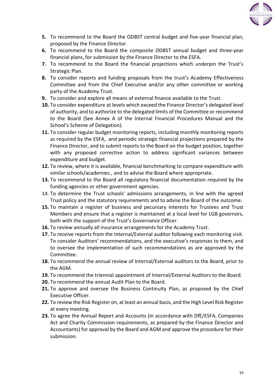

- **5.** To recommend to the Board the ODBST central budget and five-year financial plan, proposed by the Finance Director.
- **6.** To recommend to the Board the composite ODBST annual budget and three-year financial plans, for submission by the Finance Director to the ESFA.
- **7.** To recommend to the Board the financial projections which underpin the Trust's Strategic Plan.
- **8.** To consider reports and funding proposals from the trust's Academy Effectiveness Committee and from the Chief Executive and/or any other committee or working party of the Academy Trust.
- **9.** To consider and explore all means of external finance available to the Trust.
- **10.** To consider expenditure at levels which exceed the Finance Director's delegated level of authority, and to authorize to the delegated limits of the Committee or recommend to the Board (See Annex A of the Internal Financial Procedures Manual and the School's Scheme of Delegation).
- **11.** To consider regular budget monitoring reports, including monthly monitoring reports as required by the ESFA, and periodic strategic financial projections prepared by the Finance Director, and to submit reports to the Board on the budget position, together with any proposed corrective action to address significant variances between expenditure and budget.
- **12.** To review, where it is available, financial benchmarking to compare expenditure with similar schools/academies., and to advise the Board where appropriate.
- **13.** To recommend to the Board all regulatory financial documentation required by the funding agencies or other government agencies.
- 14. To determine the Trust schools' admissions arrangements, in line with the agreed Trust policy and the statutory requirements and to advise the Board of the outcome.
- **15.** To maintain a register of business and pecuniary interests for Trustees and Trust Members and ensure that a register is maintained at a local level for LGB governors, both with the support of the Trust's Governance Officer.
- **16.** To review annually all insurance arrangements for the Academy Trust.
- **17.** To receive reports from the Internal/External auditor following each monitoring visit. To consider Auditors' recommendations, and the executive's responses to them, and to oversee the implementation of such recommendations as are approved by the Committee.
- **18.** To recommend the annual review of Internal/External auditors to the Board, prior to the AGM.
- **19.** To recommend the triennial appointment of Internal/External Auditors to the Board.
- **20.** To recommend the annual Audit Plan to the Board.
- **21.** To approve and oversee the Business Continuity Plan, as proposed by the Chief Executive Officer.
- **22.** To review the Risk Register on, at least an annual basis, and the High Level Risk Register at every meeting.
- **23.** To agree the Annual Report and Accounts (in accordance with DfE/ESFA, Companies Act and Charity Commission requirements, as prepared by the Finance Director and Accountants) for approval by the Board and AGM and approve the procedure for their submission.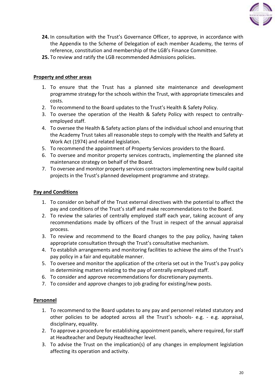

- **24.** In consultation with the Trust's Governance Officer, to approve, in accordance with the Appendix to the Scheme of Delegation of each member Academy, the terms of reference, constitution and membership of the LGB's Finance Committee.
- **25.** To review and ratify the LGB recommended Admissions policies.

# **Property and other areas**

- 1. To ensure that the Trust has a planned site maintenance and development programme strategy for the schools within the Trust, with appropriate timescales and costs.
- 2. To recommend to the Board updates to the Trust's Health & Safety Policy.
- 3. To oversee the operation of the Health & Safety Policy with respect to centrallyemployed staff.
- 4. To oversee the Health & Safety action plans of the individual school and ensuring that the Academy Trust takes all reasonable steps to comply with the Health and Safety at Work Act (1974) and related legislation.
- 5. To recommend the appointment of Property Services providers to the Board.
- 6. To oversee and monitor property services contracts, implementing the planned site maintenance strategy on behalf of the Board.
- 7. To oversee and monitor property services contractors implementing new build capital projects in the Trust's planned development programme and strategy.

# **Pay and Conditions**

- 1. To consider on behalf of the Trust external directives with the potential to affect the pay and conditions of the Trust's staff and make recommendations to the Board.
- 2. To review the salaries of centrally employed staff each year, taking account of any recommendations made by officers of the Trust in respect of the annual appraisal process.
- 3. To review and recommend to the Board changes to the pay policy, having taken appropriate consultation through the Trust's consultative mechanism.
- 4. To establish arrangements and monitoring facilities to achieve the aims of the Trust's pay policy in a fair and equitable manner.
- 5. To oversee and monitor the application of the criteria set out in the Trust's pay policy in determining matters relating to the pay of centrally employed staff.
- 6. To consider and approve recommendations for discretionary payments.
- 7. To consider and approve changes to job grading for existing/new posts.

# **Personnel**

- 1. To recommend to the Board updates to any pay and personnel related statutory and other policies to be adopted across all the Trust's schools- e.g. - e.g. appraisal, disciplinary, equality.
- 2. To approve a procedure for establishing appointment panels, where required, for staff at Headteacher and Deputy Headteacher level.
- 3. To advise the Trust on the implication(s) of any changes in employment legislation affecting its operation and activity.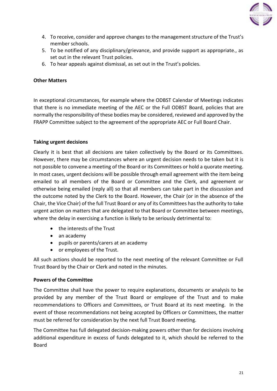

- 4. To receive, consider and approve changes to the management structure of the Trust's member schools.
- 5. To be notified of any disciplinary/grievance, and provide support as appropriate., as set out in the relevant Trust policies.
- 6. To hear appeals against dismissal, as set out in the Trust's policies.

# **Other Matters**

In exceptional circumstances, for example where the ODBST Calendar of Meetings indicates that there is no immediate meeting of the AEC or the Full ODBST Board, policies that are normally the responsibility of these bodies may be considered, reviewed and approved by the FRAPP Committee subject to the agreement of the appropriate AEC or Full Board Chair.

# **Taking urgent decisions**

Clearly it is best that all decisions are taken collectively by the Board or its Committees. However, there may be circumstances where an urgent decision needs to be taken but it is not possible to convene a meeting of the Board or its Committees or hold a quorate meeting. In most cases, urgent decisions will be possible through email agreement with the item being emailed to all members of the Board or Committee and the Clerk, and agreement or otherwise being emailed (reply all) so that all members can take part in the discussion and the outcome noted by the Clerk to the Board. However, the Chair (or in the absence of the Chair, the Vice Chair) of the full Trust Board or any of its Committees has the authority to take urgent action on matters that are delegated to that Board or Committee between meetings, where the delay in exercising a function is likely to be seriously detrimental to:

- the interests of the Trust
- an academy
- pupils or parents/carers at an academy
- or employees of the Trust.

All such actions should be reported to the next meeting of the relevant Committee or Full Trust Board by the Chair or Clerk and noted in the minutes.

# **Powers of the Committee**

The Committee shall have the power to require explanations, documents or analysis to be provided by any member of the Trust Board or employee of the Trust and to make recommendations to Officers and Committees, or Trust Board at its next meeting. In the event of those recommendations not being accepted by Officers or Committees, the matter must be referred for consideration by the next full Trust Board meeting.

The Committee has full delegated decision-making powers other than for decisions involving additional expenditure in excess of funds delegated to it, which should be referred to the Board